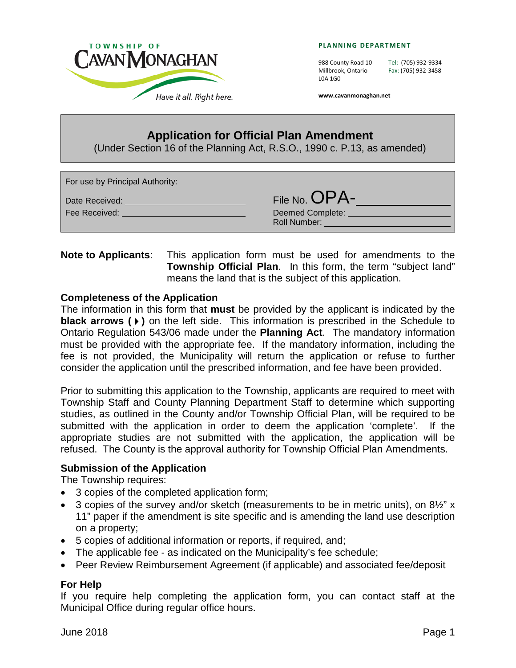

**PLANNING DEPARTMENT**

L0A 1G0

988 County Road 10 Tel: (705) 932-9334 Millbrook, Ontario Fax: (705) 932-3458

**www.cavanmonaghan.net**

# **Application for Official Plan Amendment**

(Under Section 16 of the Planning Act, R.S.O., 1990 c. P.13, as amended)

| For use by Principal Authority: |                                                          |
|---------------------------------|----------------------------------------------------------|
| Date Received:<br>Fee Received: | File No. OPA-<br><b>Deemed Complete:</b><br>Roll Number: |

## **Note to Applicants**: This application form must be used for amendments to the **Township Official Plan**. In this form, the term "subject land" means the land that is the subject of this application.

### **Completeness of the Application**

The information in this form that **must** be provided by the applicant is indicated by the **black arrows ()** on the left side. This information is prescribed in the Schedule to Ontario Regulation 543/06 made under the **Planning Act**. The mandatory information must be provided with the appropriate fee. If the mandatory information, including the fee is not provided, the Municipality will return the application or refuse to further consider the application until the prescribed information, and fee have been provided.

Prior to submitting this application to the Township, applicants are required to meet with Township Staff and County Planning Department Staff to determine which supporting studies, as outlined in the County and/or Township Official Plan, will be required to be submitted with the application in order to deem the application 'complete'. If the appropriate studies are not submitted with the application, the application will be refused. The County is the approval authority for Township Official Plan Amendments.

#### **Submission of the Application**

The Township requires:

- 3 copies of the completed application form;
- 3 copies of the survey and/or sketch (measurements to be in metric units), on  $8\frac{1}{2}$ " x 11" paper if the amendment is site specific and is amending the land use description on a property;
- 5 copies of additional information or reports, if required, and;
- The applicable fee as indicated on the Municipality's fee schedule;
- Peer Review Reimbursement Agreement (if applicable) and associated fee/deposit

#### **For Help**

If you require help completing the application form, you can contact staff at the Municipal Office during regular office hours.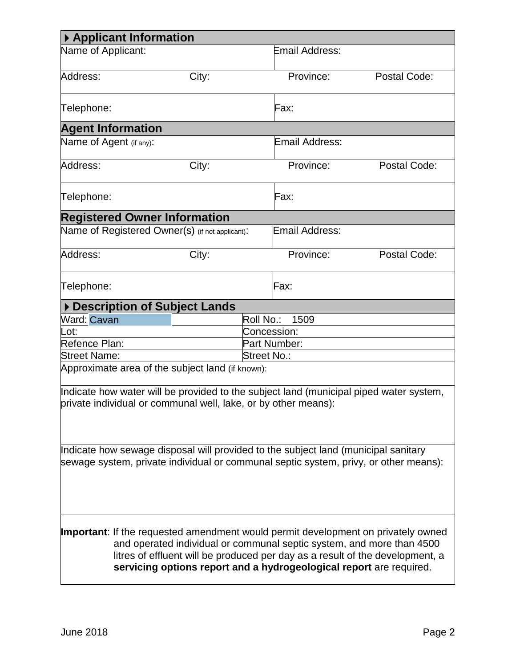| ▶ Applicant Information                                                                                                                                                                                                                                                                                                   |                                                                                                                                                          |                   |              |
|---------------------------------------------------------------------------------------------------------------------------------------------------------------------------------------------------------------------------------------------------------------------------------------------------------------------------|----------------------------------------------------------------------------------------------------------------------------------------------------------|-------------------|--------------|
| Name of Applicant:                                                                                                                                                                                                                                                                                                        |                                                                                                                                                          | Email Address:    |              |
| Address:                                                                                                                                                                                                                                                                                                                  | City:                                                                                                                                                    | Province:         | Postal Code: |
| Telephone:                                                                                                                                                                                                                                                                                                                |                                                                                                                                                          | Fax:              |              |
| <b>Agent Information</b>                                                                                                                                                                                                                                                                                                  |                                                                                                                                                          |                   |              |
| Name of Agent (if any):                                                                                                                                                                                                                                                                                                   |                                                                                                                                                          | Email Address:    |              |
| Address:                                                                                                                                                                                                                                                                                                                  | City:                                                                                                                                                    | Province:         | Postal Code: |
| Telephone:                                                                                                                                                                                                                                                                                                                |                                                                                                                                                          | Fax:              |              |
|                                                                                                                                                                                                                                                                                                                           | <b>Registered Owner Information</b>                                                                                                                      |                   |              |
|                                                                                                                                                                                                                                                                                                                           | Name of Registered Owner(s) (if not applicant):                                                                                                          | Email Address:    |              |
| Address:                                                                                                                                                                                                                                                                                                                  | City:                                                                                                                                                    | Province:         | Postal Code: |
| Telephone:                                                                                                                                                                                                                                                                                                                |                                                                                                                                                          | Fax:              |              |
|                                                                                                                                                                                                                                                                                                                           | Description of Subject Lands                                                                                                                             |                   |              |
| Ward: Cavan                                                                                                                                                                                                                                                                                                               |                                                                                                                                                          | Roll No.:<br>1509 |              |
| Lot:                                                                                                                                                                                                                                                                                                                      |                                                                                                                                                          | Concession:       |              |
| Refence Plan:                                                                                                                                                                                                                                                                                                             |                                                                                                                                                          | Part Number:      |              |
| <b>Street Name:</b>                                                                                                                                                                                                                                                                                                       |                                                                                                                                                          | Street No.:       |              |
|                                                                                                                                                                                                                                                                                                                           | Approximate area of the subject land (if known):                                                                                                         |                   |              |
|                                                                                                                                                                                                                                                                                                                           | Indicate how water will be provided to the subject land (municipal piped water system,<br>private individual or communal well, lake, or by other means): |                   |              |
| Indicate how sewage disposal will provided to the subject land (municipal sanitary<br>sewage system, private individual or communal septic system, privy, or other means):                                                                                                                                                |                                                                                                                                                          |                   |              |
| <b>Important:</b> If the requested amendment would permit development on privately owned<br>and operated individual or communal septic system, and more than 4500<br>litres of effluent will be produced per day as a result of the development, a<br>servicing options report and a hydrogeological report are required. |                                                                                                                                                          |                   |              |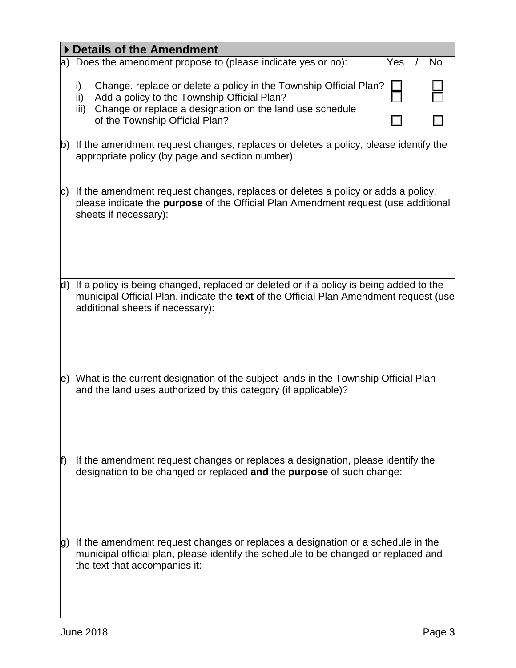|     | Details of the Amendment                                                                                                                                                                                                            |
|-----|-------------------------------------------------------------------------------------------------------------------------------------------------------------------------------------------------------------------------------------|
|     | a) Does the amendment propose to (please indicate yes or no):<br>Yes<br>No                                                                                                                                                          |
|     | Change, replace or delete a policy in the Township Official Plan?<br>i)<br>Add a policy to the Township Official Plan?<br>ii)<br>Change or replace a designation on the land use schedule<br>iii)<br>of the Township Official Plan? |
|     | b) If the amendment request changes, replaces or deletes a policy, please identify the<br>appropriate policy (by page and section number):                                                                                          |
| C)  | If the amendment request changes, replaces or deletes a policy or adds a policy,<br>please indicate the purpose of the Official Plan Amendment request (use additional<br>sheets if necessary):                                     |
| d)  | If a policy is being changed, replaced or deleted or if a policy is being added to the<br>municipal Official Plan, indicate the text of the Official Plan Amendment request (use<br>additional sheets if necessary):                |
| le) | What is the current designation of the subject lands in the Township Official Plan<br>and the land uses authorized by this category (if applicable)?                                                                                |
| f)  | If the amendment request changes or replaces a designation, please identify the<br>designation to be changed or replaced and the purpose of such change:                                                                            |
| g)  | If the amendment request changes or replaces a designation or a schedule in the<br>municipal official plan, please identify the schedule to be changed or replaced and<br>the text that accompanies it:                             |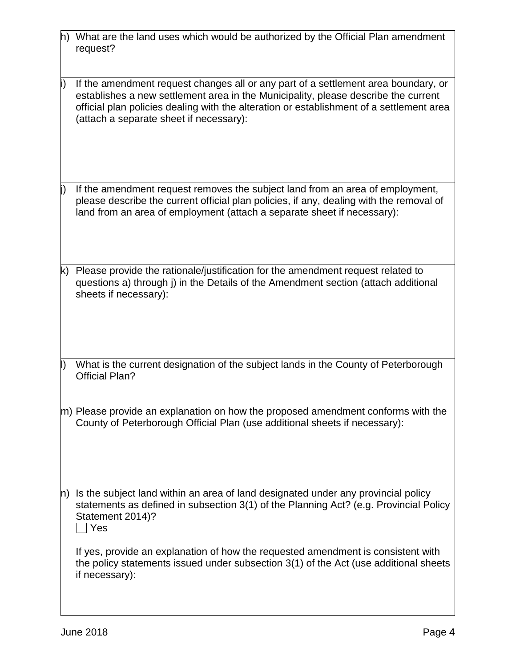| h) What are the land uses which would be authorized by the Official Plan amendment |  |
|------------------------------------------------------------------------------------|--|
| request?                                                                           |  |

- If the amendment request changes all or any part of a settlement area boundary, or establishes a new settlement area in the Municipality, please describe the current official plan policies dealing with the alteration or establishment of a settlement area (attach a separate sheet if necessary):
- If the amendment request removes the subject land from an area of employment, please describe the current official plan policies, if any, dealing with the removal of land from an area of employment (attach a separate sheet if necessary):
- k) Please provide the rationale/justification for the amendment request related to questions a) through j) in the Details of the Amendment section (attach additional sheets if necessary):
- What is the current designation of the subject lands in the County of Peterborough Official Plan?
- m) Please provide an explanation on how the proposed amendment conforms with the County of Peterborough Official Plan (use additional sheets if necessary):
- n) Is the subject land within an area of land designated under any provincial policy statements as defined in subsection 3(1) of the Planning Act? (e.g. Provincial Policy Statement 2014)?  $\Box$  Yes

If yes, provide an explanation of how the requested amendment is consistent with the policy statements issued under subsection 3(1) of the Act (use additional sheets if necessary):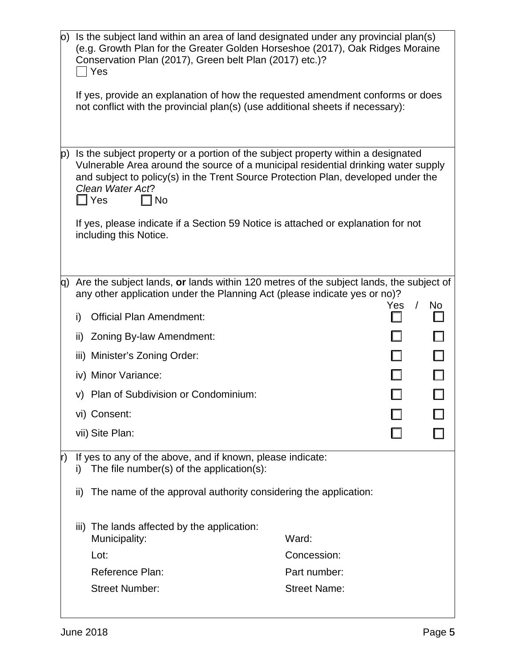|     | $\vert$ o) Is the subject land within an area of land designated under any provincial plan(s)<br>(e.g. Growth Plan for the Greater Golden Horseshoe (2017), Oak Ridges Moraine<br>Conservation Plan (2017), Green belt Plan (2017) etc.)?<br>Yes                                                        |                                     |                   |    |
|-----|---------------------------------------------------------------------------------------------------------------------------------------------------------------------------------------------------------------------------------------------------------------------------------------------------------|-------------------------------------|-------------------|----|
|     | If yes, provide an explanation of how the requested amendment conforms or does<br>not conflict with the provincial plan(s) (use additional sheets if necessary):                                                                                                                                        |                                     |                   |    |
| p). | Is the subject property or a portion of the subject property within a designated<br>Vulnerable Area around the source of a municipal residential drinking water supply<br>and subject to policy(s) in the Trent Source Protection Plan, developed under the<br>Clean Water Act?<br>] Yes<br>$\sqcap$ No |                                     |                   |    |
|     | If yes, please indicate if a Section 59 Notice is attached or explanation for not<br>including this Notice.                                                                                                                                                                                             |                                     |                   |    |
|     | $ q\rangle$ Are the subject lands, or lands within 120 metres of the subject lands, the subject of<br>any other application under the Planning Act (please indicate yes or no)?                                                                                                                         |                                     |                   |    |
|     | <b>Official Plan Amendment:</b><br>i)                                                                                                                                                                                                                                                                   |                                     | $\sqrt{2}$<br>Yes | No |
|     | Zoning By-law Amendment:<br>ii)                                                                                                                                                                                                                                                                         |                                     |                   |    |
|     | iii) Minister's Zoning Order:                                                                                                                                                                                                                                                                           |                                     |                   |    |
|     | iv) Minor Variance:                                                                                                                                                                                                                                                                                     |                                     |                   |    |
|     | v) Plan of Subdivision or Condominium:                                                                                                                                                                                                                                                                  |                                     |                   |    |
|     | vi) Consent:                                                                                                                                                                                                                                                                                            |                                     |                   |    |
|     | vii) Site Plan:                                                                                                                                                                                                                                                                                         |                                     |                   |    |
| r)  | If yes to any of the above, and if known, please indicate:<br>The file number(s) of the application(s):<br>I)                                                                                                                                                                                           |                                     |                   |    |
|     | The name of the approval authority considering the application:<br>ii)                                                                                                                                                                                                                                  |                                     |                   |    |
|     | The lands affected by the application:<br>iii)<br>Municipality:                                                                                                                                                                                                                                         | Ward:                               |                   |    |
|     | Lot:                                                                                                                                                                                                                                                                                                    | Concession:                         |                   |    |
|     | <b>Reference Plan:</b><br><b>Street Number:</b>                                                                                                                                                                                                                                                         | Part number:<br><b>Street Name:</b> |                   |    |
|     |                                                                                                                                                                                                                                                                                                         |                                     |                   |    |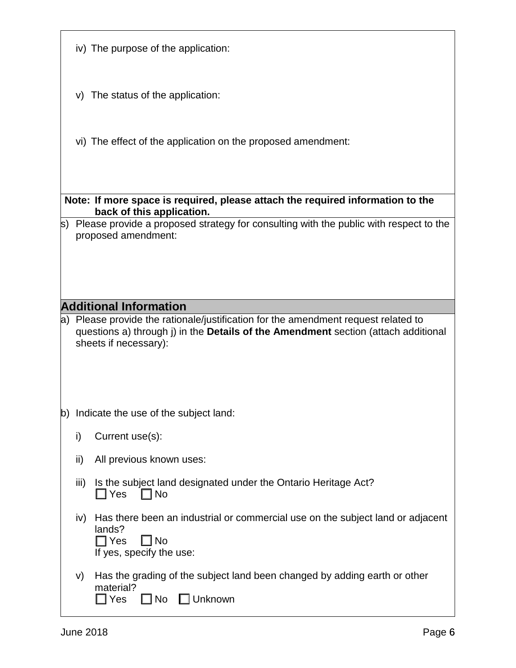|    |      | iv) The purpose of the application:                                                                                                                                             |
|----|------|---------------------------------------------------------------------------------------------------------------------------------------------------------------------------------|
|    |      | v) The status of the application:                                                                                                                                               |
|    |      | vi) The effect of the application on the proposed amendment:                                                                                                                    |
|    |      |                                                                                                                                                                                 |
|    |      | Note: If more space is required, please attach the required information to the<br>back of this application.                                                                     |
|    |      | $ s\rangle$ Please provide a proposed strategy for consulting with the public with respect to the<br>proposed amendment:                                                        |
|    |      |                                                                                                                                                                                 |
|    |      | <b>Additional Information</b>                                                                                                                                                   |
|    |      | a) Please provide the rationale/justification for the amendment request related to<br>questions a) through j) in the <b>Details of the Amendment</b> section (attach additional |
|    |      | sheets if necessary):                                                                                                                                                           |
| b) |      | Indicate the use of the subject land:                                                                                                                                           |
|    | i)   | Current use(s):                                                                                                                                                                 |
|    | ii)  | All previous known uses:                                                                                                                                                        |
|    | iii) | Is the subject land designated under the Ontario Heritage Act?<br>$\Box$ Yes<br>No                                                                                              |
|    | iv)  | Has there been an industrial or commercial use on the subject land or adjacent<br>lands?<br>$\Box$ Yes<br>$\Box$ No<br>If yes, specify the use:                                 |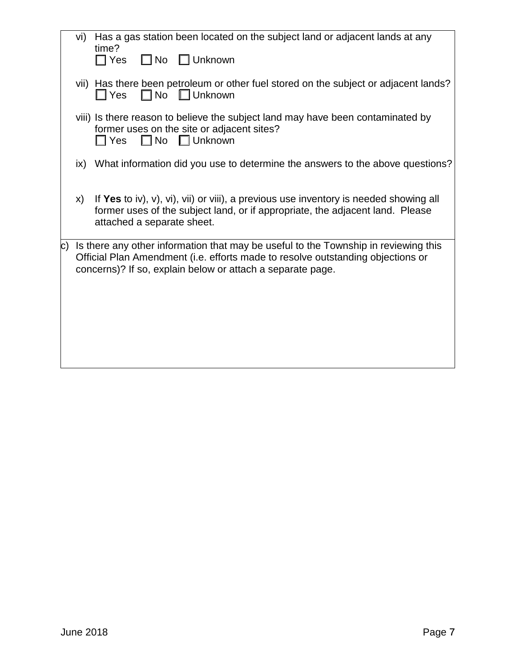|                  | vi)           | Has a gas station been located on the subject land or adjacent lands at any<br>time?                                                                                                                                                 |
|------------------|---------------|--------------------------------------------------------------------------------------------------------------------------------------------------------------------------------------------------------------------------------------|
|                  |               | $\Box$ No $\Box$ Unknown<br>$\Box$ Yes                                                                                                                                                                                               |
|                  |               | vii) Has there been petroleum or other fuel stored on the subject or adjacent lands?<br>$\Box$ No $\Box$ Unknown<br>$\square$ Yes                                                                                                    |
|                  |               | viii) Is there reason to believe the subject land may have been contaminated by<br>former uses on the site or adjacent sites?<br>$\Box$ No $\Box$ Unknown<br>$\Box$ Yes                                                              |
|                  | $\mathsf{ix}$ | What information did you use to determine the answers to the above questions?                                                                                                                                                        |
|                  | X)            | If Yes to iv), v), vi), vii) or viii), a previous use inventory is needed showing all<br>former uses of the subject land, or if appropriate, the adjacent land. Please<br>attached a separate sheet.                                 |
| $\vert c) \vert$ |               | Is there any other information that may be useful to the Township in reviewing this<br>Official Plan Amendment (i.e. efforts made to resolve outstanding objections or<br>concerns)? If so, explain below or attach a separate page. |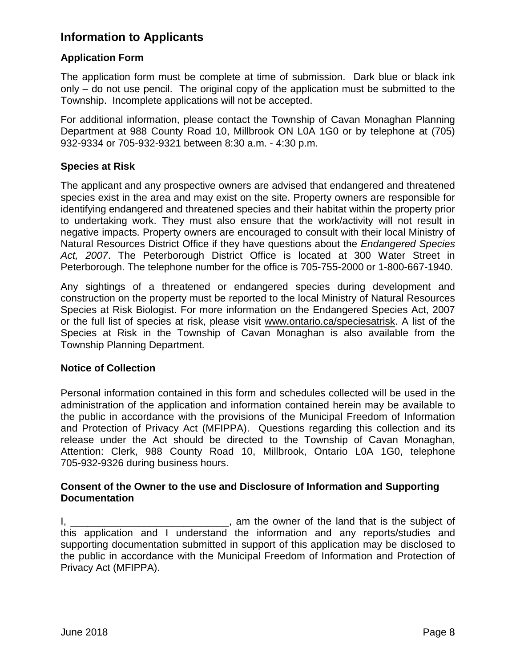# **Information to Applicants**

## **Application Form**

The application form must be complete at time of submission. Dark blue or black ink only – do not use pencil. The original copy of the application must be submitted to the Township. Incomplete applications will not be accepted.

For additional information, please contact the Township of Cavan Monaghan Planning Department at 988 County Road 10, Millbrook ON L0A 1G0 or by telephone at (705) 932-9334 or 705-932-9321 between 8:30 a.m. - 4:30 p.m.

## **Species at Risk**

The applicant and any prospective owners are advised that endangered and threatened species exist in the area and may exist on the site. Property owners are responsible for identifying endangered and threatened species and their habitat within the property prior to undertaking work. They must also ensure that the work/activity will not result in negative impacts. Property owners are encouraged to consult with their local Ministry of Natural Resources District Office if they have questions about the *Endangered Species Act, 2007*. The Peterborough District Office is located at 300 Water Street in Peterborough. The telephone number for the office is 705-755-2000 or 1-800-667-1940.

Any sightings of a threatened or endangered species during development and construction on the property must be reported to the local Ministry of Natural Resources Species at Risk Biologist. For more information on the Endangered Species Act, 2007 or the full list of species at risk, please visit www.ontario.ca/speciesatrisk. A list of the Species at Risk in the Township of Cavan Monaghan is also available from the Township Planning Department.

## **Notice of Collection**

Personal information contained in this form and schedules collected will be used in the administration of the application and information contained herein may be available to the public in accordance with the provisions of the Municipal Freedom of Information and Protection of Privacy Act (MFIPPA). Questions regarding this collection and its release under the Act should be directed to the Township of Cavan Monaghan, Attention: Clerk, 988 County Road 10, Millbrook, Ontario L0A 1G0, telephone 705-932-9326 during business hours.

## **Consent of the Owner to the use and Disclosure of Information and Supporting Documentation**

I, \_\_\_\_\_\_\_\_\_\_\_\_\_\_\_\_\_\_\_\_\_\_\_\_\_\_\_\_\_\_\_\_, am the owner of the land that is the subject of this application and I understand the information and any reports/studies and supporting documentation submitted in support of this application may be disclosed to the public in accordance with the Municipal Freedom of Information and Protection of Privacy Act (MFIPPA).